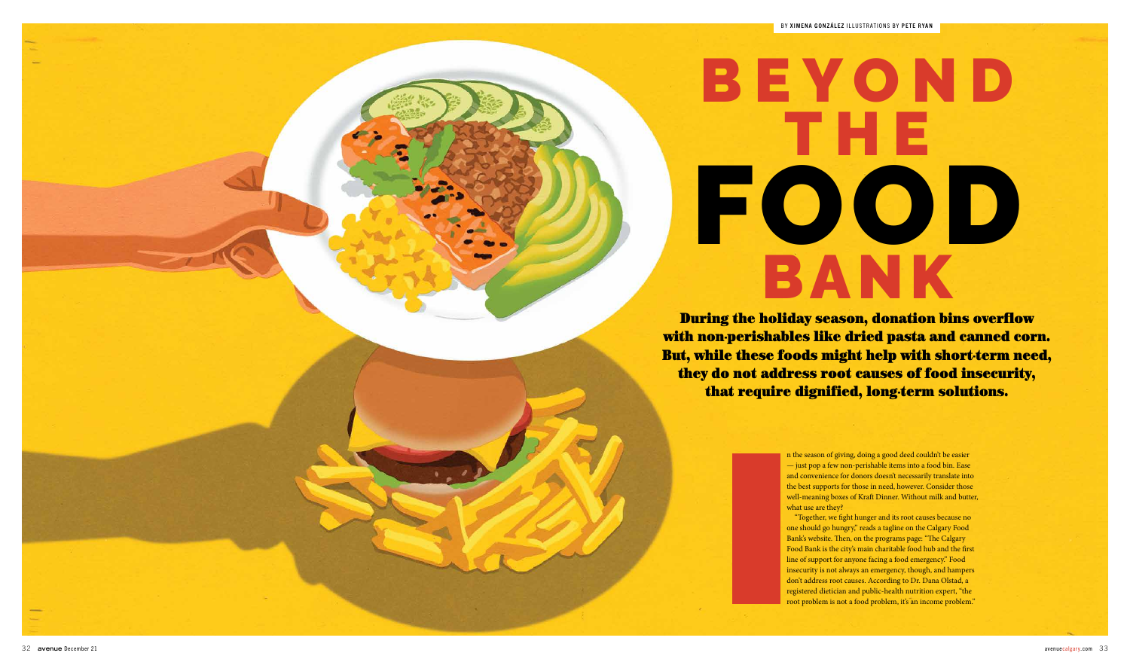During the holiday season, donation bins overflow with non-perishables like dried pasta and canned corn. But, while these foods might help with short-term need, they do not address root causes of food insecurity, that require dignified, long-term solutions.

## BEYOND THE FOOD BANK

n the season of giving, doing a good deed couldn't be easier — just pop a few non-perishable items into a food bin. Ease and convenience for donors doesn't necessarily translate into the best supports for those in need, however. Consider those well-meaning boxes of Kraft Dinner. Without milk and butter, what use are they?

"Together, we fight hunger and its root causes because no one should go hungry," reads a tagline on the Calgary Food Bank's website. Then, on the programs page: "The Calgary Food Bank is the city's main charitable food hub and the first line of support for anyone facing a food emergency." Food insecurity is not always an emergency, though, and hampers don't address root causes. According to Dr. Dana Olstad, a registered dietician and public-health nutrition expert, "the root problem is not a food problem, it's an income problem."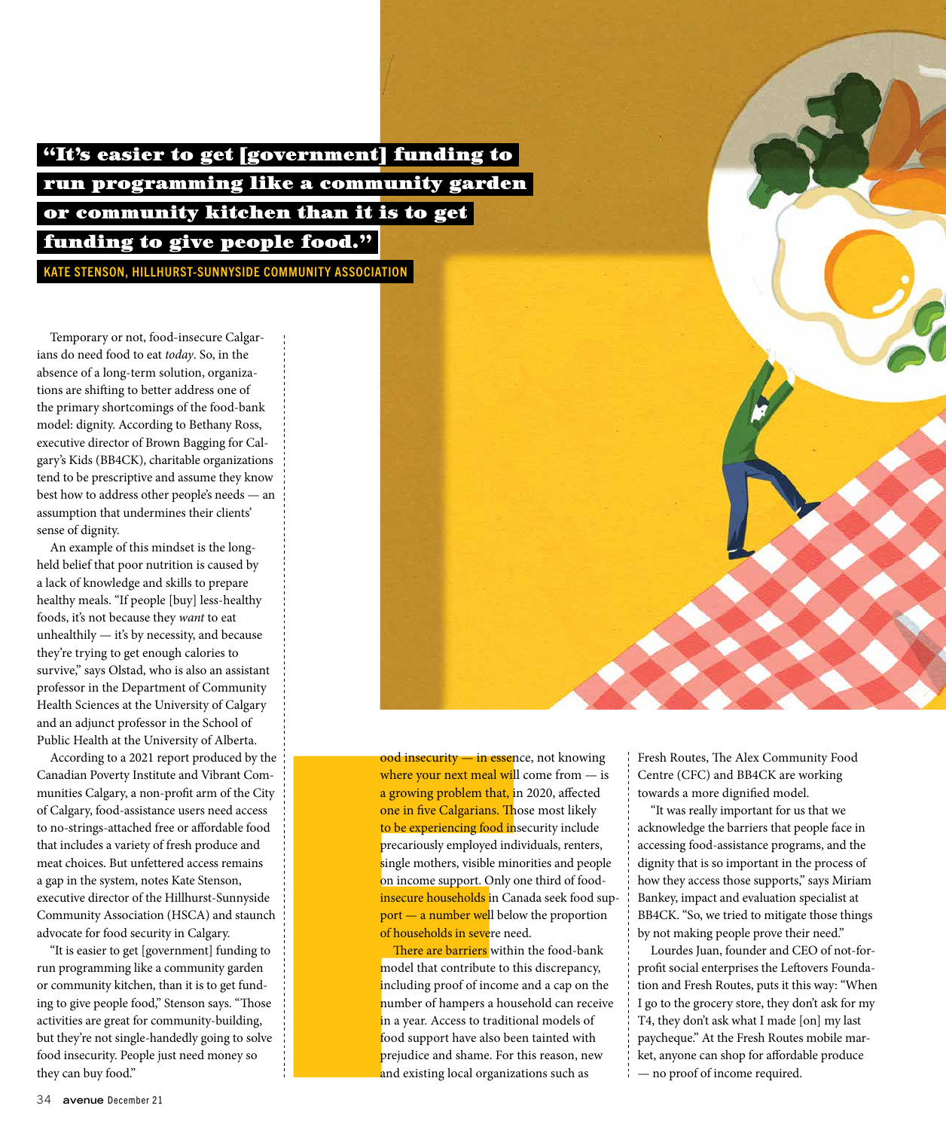"It's easier to get [government] funding to run programming like a community garden or community kitchen than it is to get funding to give people food."

KATE STENSON, HILLHURST-SUNNYSIDE COMMUNITY ASSOCIATION

Temporary or not, food-insecure Calgarians do need food to eat *today*. So, in the absence of a long-term solution, organizations are shifting to better address one of the primary shortcomings of the food-bank model: dignity. According to Bethany Ross, executive director of Brown Bagging for Calgary's Kids (BB4CK), charitable organizations tend to be prescriptive and assume they know best how to address other people's needs — an assumption that undermines their clients' sense of dignity.

An example of this mindset is the longheld belief that poor nutrition is caused by a lack of knowledge and skills to prepare healthy meals. "If people [buy] less-healthy foods, it's not because they *want* to eat unhealthily — it's by necessity, and because they're trying to get enough calories to survive," says Olstad, who is also an assistant professor in the Department of Community Health Sciences at the University of Calgary and an adjunct professor in the School of Public Health at the University of Alberta.

According to a 2021 report produced by the Canadian Poverty Institute and Vibrant Communities Calgary, a non-profit arm of the City of Calgary, food-assistance users need access to no-strings-attached free or affordable food that includes a variety of fresh produce and meat choices. But unfettered access remains a gap in the system, notes Kate Stenson, executive director of the Hillhurst-Sunnyside Community Association (HSCA) and staunch advocate for food security in Calgary.

"It is easier to get [government] funding to run programming like a community garden or community kitchen, than it is to get funding to give people food," Stenson says. "Those activities are great for community-building, but they're not single-handedly going to solve food insecurity. People just need money so they can buy food."

ood insecurity — in essence, not knowing where your next meal will come from  $-$  is a growing problem that, in 2020, affected one in five Calgarians. Those most likely to be experiencing food insecurity include precariously employed individuals, renters, single mothers, visible minorities and people on income support. Only one third of foodinsecure households in Canada seek food support — a number well below the proportion of households in severe need.

There are barriers within the food-bank model that contribute to this discrepancy, including proof of income and a cap on the number of hampers a household can receive in a year. Access to traditional models of food support have also been tainted with prejudice and shame. For this reason, new and existing local organizations such as

Fresh Routes, The Alex Community Food Centre (CFC) and BB4CK are working towards a more dignified model.

"It was really important for us that we acknowledge the barriers that people face in accessing food-assistance programs, and the dignity that is so important in the process of how they access those supports," says Miriam Bankey, impact and evaluation specialist at BB4CK. "So, we tried to mitigate those things by not making people prove their need."

Lourdes Juan, founder and CEO of not-forprofit social enterprises the Leftovers Foundation and Fresh Routes, puts it this way: "When I go to the grocery store, they don't ask for my T4, they don't ask what I made [on] my last paycheque." At the Fresh Routes mobile market, anyone can shop for affordable produce — no proof of income required.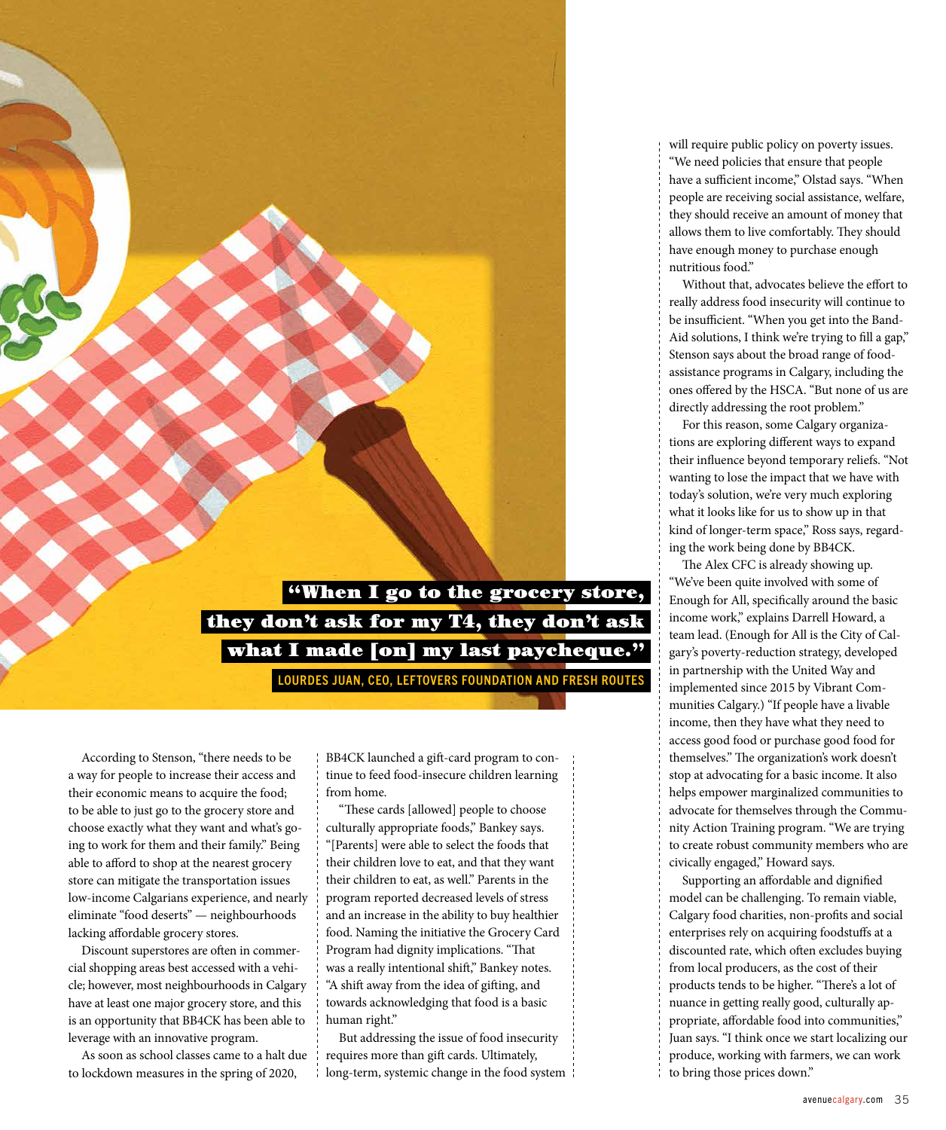

According to Stenson, "there needs to be a way for people to increase their access and their economic means to acquire the food; to be able to just go to the grocery store and choose exactly what they want and what's going to work for them and their family." Being able to afford to shop at the nearest grocery store can mitigate the transportation issues low-income Calgarians experience, and nearly eliminate "food deserts" — neighbourhoods lacking affordable grocery stores.

Discount superstores are often in commercial shopping areas best accessed with a vehicle; however, most neighbourhoods in Calgary have at least one major grocery store, and this is an opportunity that BB4CK has been able to leverage with an innovative program.

As soon as school classes came to a halt due to lockdown measures in the spring of 2020,

BB4CK launched a gift-card program to continue to feed food-insecure children learning from home.

"These cards [allowed] people to choose culturally appropriate foods," Bankey says. "[Parents] were able to select the foods that their children love to eat, and that they want their children to eat, as well." Parents in the program reported decreased levels of stress and an increase in the ability to buy healthier food. Naming the initiative the Grocery Card Program had dignity implications. "That was a really intentional shift," Bankey notes. "A shift away from the idea of gifting, and towards acknowledging that food is a basic human right."

But addressing the issue of food insecurity requires more than gift cards. Ultimately, long-term, systemic change in the food system \; will require public policy on poverty issues. "We need policies that ensure that people have a sufficient income," Olstad says. "When people are receiving social assistance, welfare, they should receive an amount of money that allows them to live comfortably. They should have enough money to purchase enough nutritious food."

Without that, advocates believe the effort to really address food insecurity will continue to be insufficient. "When you get into the Band-Aid solutions, I think we're trying to fill a gap," Stenson says about the broad range of foodassistance programs in Calgary, including the ones offered by the HSCA. "But none of us are directly addressing the root problem."

For this reason, some Calgary organizations are exploring different ways to expand their influence beyond temporary reliefs. "Not wanting to lose the impact that we have with today's solution, we're very much exploring what it looks like for us to show up in that kind of longer-term space," Ross says, regarding the work being done by BB4CK.

The Alex CFC is already showing up. "We've been quite involved with some of Enough for All, specifically around the basic income work," explains Darrell Howard, a team lead. (Enough for All is the City of Calgary's poverty-reduction strategy, developed in partnership with the United Way and implemented since 2015 by Vibrant Communities Calgary.) "If people have a livable income, then they have what they need to access good food or purchase good food for themselves." The organization's work doesn't stop at advocating for a basic income. It also helps empower marginalized communities to advocate for themselves through the Community Action Training program. "We are trying to create robust community members who are civically engaged," Howard says.

Supporting an affordable and dignified model can be challenging. To remain viable, Calgary food charities, non-profits and social enterprises rely on acquiring foodstuffs at a discounted rate, which often excludes buying from local producers, as the cost of their products tends to be higher. "There's a lot of nuance in getting really good, culturally appropriate, affordable food into communities," Juan says. "I think once we start localizing our produce, working with farmers, we can work to bring those prices down."